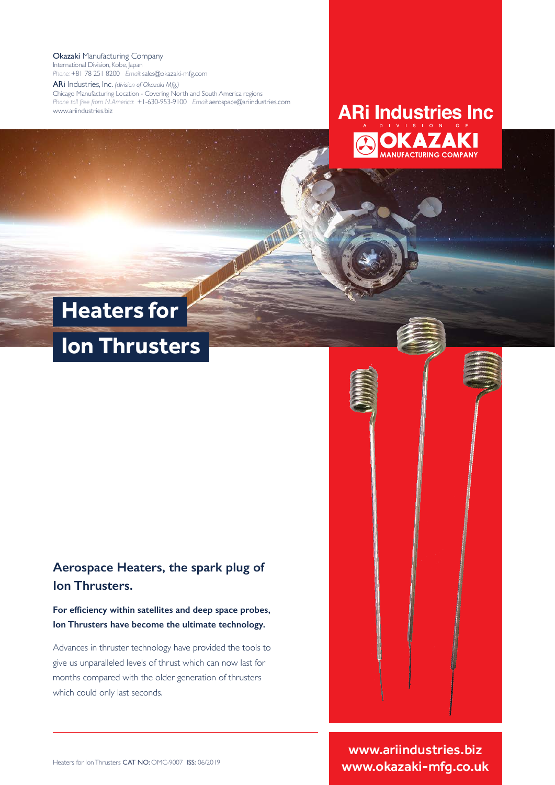Okazaki Manufacturing Company International Division, Kobe, Japan *Phone:* +81 78 251 8200 *Email:* sales@okazaki-mfg.com

ARi Industries, Inc. *(division of Okazaki Mfg.)* Chicago Manufacturing Location - Covering North and South America regions *Phone toll free from N. America:* +1-630-953-9100 *Email:* aerospace@ariindustries.com www.ariindustries.biz

## **ARi Industries Inc** DIVISION **OKAZAKI**

# **Heaters for**

**Contract** 

# **Ion Thrusters**

#### **Aerospace Heaters, the spark plug of Ion Thrusters.**

**For efficiency within satellites and deep space probes, Ion Thrusters have become the ultimate technology.**

Advances in thruster technology have provided the tools to give us unparalleled levels of thrust which can now last for months compared with the older generation of thrusters which could only last seconds.



www.ariindustries.biz www.okazaki-mfg.co.uk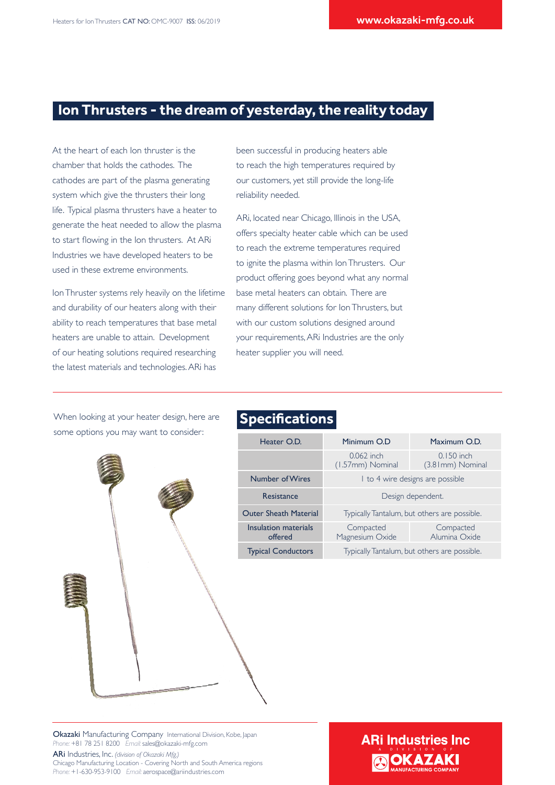#### **Ion Thrusters - the dream of yesterday, the reality today**

At the heart of each Ion thruster is the chamber that holds the cathodes. The cathodes are part of the plasma generating system which give the thrusters their long life. Typical plasma thrusters have a heater to generate the heat needed to allow the plasma to start flowing in the Ion thrusters. At ARi Industries we have developed heaters to be used in these extreme environments.

Ion Thruster systems rely heavily on the lifetime and durability of our heaters along with their ability to reach temperatures that base metal heaters are unable to attain. Development of our heating solutions required researching the latest materials and technologies. ARi has

been successful in producing heaters able to reach the high temperatures required by our customers, yet still provide the long-life reliability needed.

ARi, located near Chicago, Illinois in the USA, offers specialty heater cable which can be used to reach the extreme temperatures required to ignite the plasma within Ion Thrusters. Our product offering goes beyond what any normal base metal heaters can obtain. There are many different solutions for Ion Thrusters, but with our custom solutions designed around your requirements, ARi Industries are the only heater supplier you will need.

When looking at your heater design, here are some options you may want to consider:

#### **Specifications**

| Heater O.D.                     | Minimum O.D                                  | Maximum O.D.                      |
|---------------------------------|----------------------------------------------|-----------------------------------|
|                                 | $0.062$ inch<br>(1.57mm) Nominal             | $0.150$ inch<br>(3.8 Imm) Nominal |
| Number of Wires                 | 1 to 4 wire designs are possible             |                                   |
| Resistance                      | Design dependent.                            |                                   |
| <b>Outer Sheath Material</b>    | Typically Tantalum, but others are possible. |                                   |
| Insulation materials<br>offered | Compacted<br>Magnesium Oxide                 | Compacted<br>Alumina Oxide        |
| <b>Typical Conductors</b>       | Typically Tantalum, but others are possible. |                                   |

Okazaki Manufacturing Company International Division, Kobe, Japan *Phone:* +81 78 251 8200 *Email:* sales@okazaki-mfg.com

ARi Industries, Inc. *(division of Okazaki Mfg.)* Chicago Manufacturing Location - Covering North and South America regions *Phone:* +1-630-953-9100 *Email:* aerospace@ariindustries.com

# **ARi Industries Inc OKAZAKI**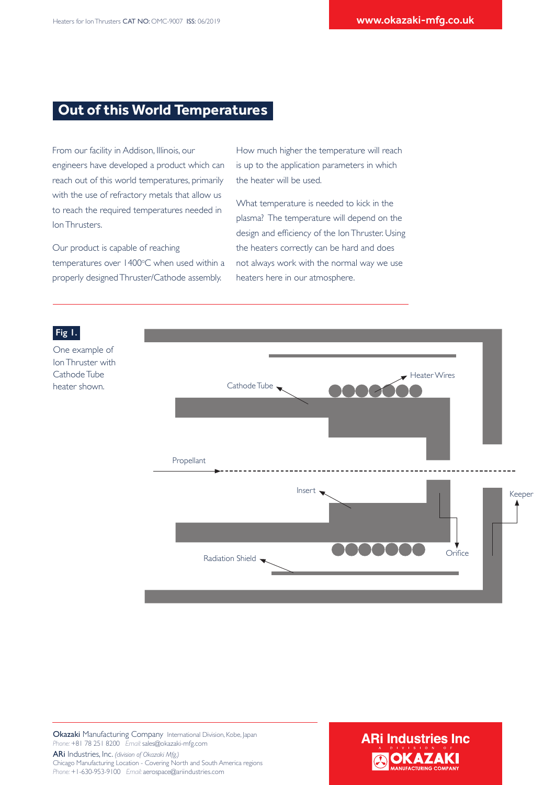#### **Out of this World Temperatures**

From our facility in Addison, Illinois, our engineers have developed a product which can reach out of this world temperatures, primarily with the use of refractory metals that allow us to reach the required temperatures needed in Ion Thrusters.

Our product is capable of reaching temperatures over 1400°C when used within a properly designed Thruster/Cathode assembly.

How much higher the temperature will reach is up to the application parameters in which the heater will be used.

What temperature is needed to kick in the plasma? The temperature will depend on the design and efficiency of the Ion Thruster. Using the heaters correctly can be hard and does not always work with the normal way we use heaters here in our atmosphere.



Okazaki Manufacturing Company International Division, Kobe, Japan *Phone:* +81 78 251 8200 *Email:* sales@okazaki-mfg.com

ARi Industries, Inc. *(division of Okazaki Mfg.)* Chicago Manufacturing Location - Covering North and South America regions *Phone:* +1-630-953-9100 *Email:* aerospace@ariindustries.com